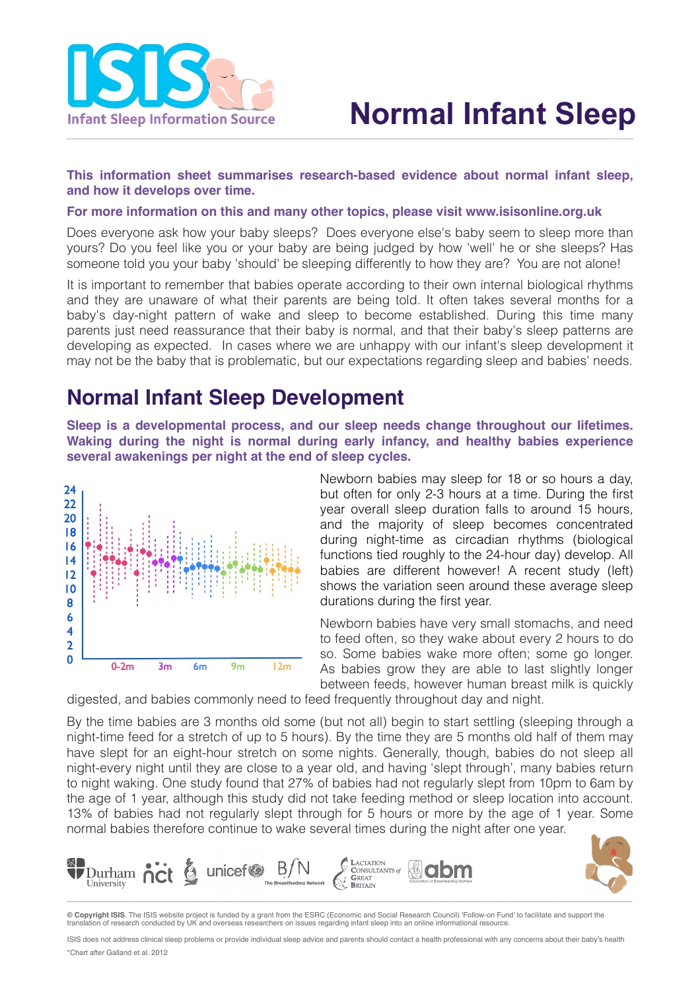

### **This information sheet summarises research-based evidence about normal infant sleep, and how it develops over time.**

#### **For more information on this and many other topics, please visit [www.isisonline.org.uk](http://www.isisonline.org.uk)**

Does everyone ask how your baby sleeps? Does everyone else's baby seem to sleep more than yours? Do you feel like you or your baby are being judged by how 'well' he or she sleeps? Has someone told you your baby 'should' be sleeping differently to how they are? You are not alone!

It is important to remember that babies operate according to their own internal biological rhythms and they are unaware of what their parents are being told. It often takes several months for a baby's day-night pattern of wake and sleep to become established. During this time many parents just need reassurance that their baby is normal, and that their baby's sleep patterns are developing as expected. In cases where we are unhappy with our infant's sleep development it may not be the baby that is problematic, but our expectations regarding sleep and babies' needs.

## **Normal Infant Sleep Development**

**Sleep is a developmental process, and our sleep needs change throughout our lifetimes. Waking during the night is normal during early infancy, and healthy babies experience several awakenings per night at the end of sleep cycles.**



Newborn babies may sleep for 18 or so hours a day, but often for only 2-3 hours at a time. During the first year overall sleep duration falls to around 15 hours, and the majority of sleep becomes concentrated during night-time as circadian rhythms (biological functions tied roughly to the 24-hour day) develop. All babies are different however! A recent study (left) shows the variation seen around these average sleep durations during the first year.

Newborn babies have very small stomachs, and need to feed often, so they wake about every 2 hours to do so. Some babies wake more often; some go longer. As babies grow they are able to last slightly longer between feeds, however human breast milk is quickly

digested, and babies commonly need to feed frequently throughout day and night.

By the time babies are 3 months old some (but not all) begin to start settling (sleeping through a night-time feed for a stretch of up to 5 hours). By the time they are 5 months old half of them may have slept for an eight-hour stretch on some nights. Generally, though, babies do not sleep all night-every night until they are close to a year old, and having 'slept through', many babies return to night waking. One study found that 27% of babies had not regularly slept from 10pm to 6am by the age of 1 year, although this study did not take feeding method or sleep location into account. 13% of babies had not regularly slept through for 5 hours or more by the age of 1 year. Some normal babies therefore continue to wake several times during the night after one year.



**© Copyright ISIS**. The ISIS website project is funded by a grant from the ESRC (Economic and Social Research Council) 'Follow-on Fund' to facilitate and support the tion of research conducted by UK and overseas researchers on issues regarding infant sleep into an online informational resource.

ISIS does not address clinical sleep problems or provide individual sleep advice and parents should contact a health professional with any concerns about their baby's health \*Chart after Galland et al. 2012